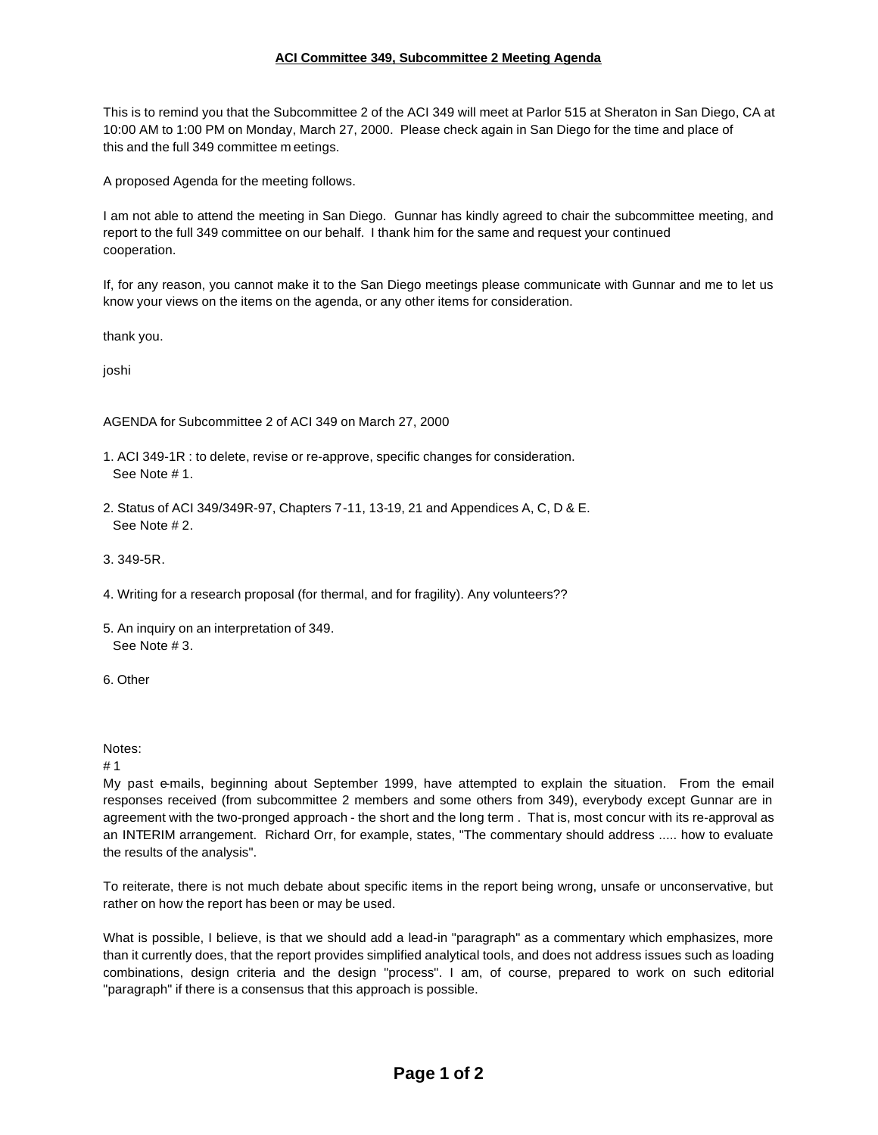## **ACI Committee 349, Subcommittee 2 Meeting Agenda**

This is to remind you that the Subcommittee 2 of the ACI 349 will meet at Parlor 515 at Sheraton in San Diego, CA at 10:00 AM to 1:00 PM on Monday, March 27, 2000. Please check again in San Diego for the time and place of this and the full 349 committee m eetings.

A proposed Agenda for the meeting follows.

I am not able to attend the meeting in San Diego. Gunnar has kindly agreed to chair the subcommittee meeting, and report to the full 349 committee on our behalf. I thank him for the same and request your continued cooperation.

If, for any reason, you cannot make it to the San Diego meetings please communicate with Gunnar and me to let us know your views on the items on the agenda, or any other items for consideration.

thank you.

joshi

AGENDA for Subcommittee 2 of ACI 349 on March 27, 2000

- 1. ACI 349-1R : to delete, revise or re-approve, specific changes for consideration. See Note # 1.
- 2. Status of ACI 349/349R-97, Chapters 7-11, 13-19, 21 and Appendices A, C, D & E. See Note # 2.
- 3. 349-5R.
- 4. Writing for a research proposal (for thermal, and for fragility). Any volunteers??
- 5. An inquiry on an interpretation of 349. See Note # 3.
- 6. Other

## Notes:

# 1

My past e-mails, beginning about September 1999, have attempted to explain the situation. From the e-mail responses received (from subcommittee 2 members and some others from 349), everybody except Gunnar are in agreement with the two-pronged approach - the short and the long term . That is, most concur with its re-approval as an INTERIM arrangement. Richard Orr, for example, states, "The commentary should address ..... how to evaluate the results of the analysis".

To reiterate, there is not much debate about specific items in the report being wrong, unsafe or unconservative, but rather on how the report has been or may be used.

What is possible, I believe, is that we should add a lead-in "paragraph" as a commentary which emphasizes, more than it currently does, that the report provides simplified analytical tools, and does not address issues such as loading combinations, design criteria and the design "process". I am, of course, prepared to work on such editorial "paragraph" if there is a consensus that this approach is possible.